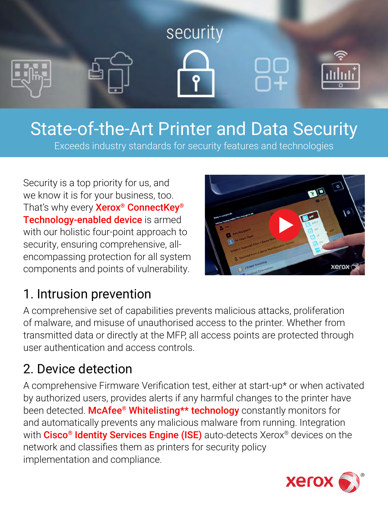

# State-of-the-Art Printer and Data Security

Exceeds industry standards for security features and technologies

Security is a top priority for us, and we know it is for your business, too. That's why every **Xerox<sup>®</sup> ConnectKey®** [Technology-enabled device](https://www.xerox.co.uk/en-gb/connectkey/business-technology) is armed with our holistic four-point approach to security, ensuring comprehensive, allencompassing protection for all system components and points of vulnerability.



#### 1. Intrusion prevention

A comprehensive set of capabilities prevents malicious attacks, proliferation of malware, and misuse of unauthorised access to the printer. Whether from transmitted data or directly at the MFP, all access points are protected through user authentication and access controls.

#### 2. Device detection

A comprehensive Firmware Verification test, either at start-up\* or when activated by authorized users, provides alerts if any harmful changes to the printer have been detected. McAfee<sup>®</sup> Whitelisting\*\* technology constantly monitors for and automatically prevents any malicious malware from running. Integration with Cisco<sup>®</sup> Identity Services Engine (ISE) auto-detects Xerox<sup>®</sup> devices on the network and classifies them as printers for security policy implementation and compliance.